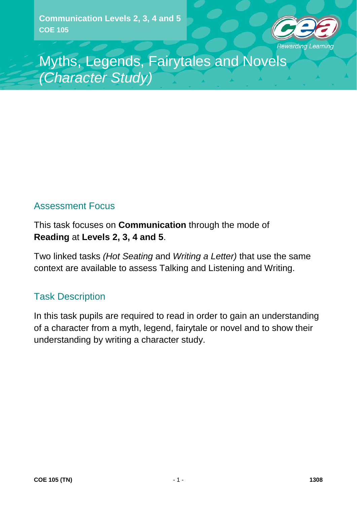**Communication Levels 2, 3, 4 and 5 COE 105**



Myths, Legends, Fairytales and Novels *(Character Study)*

## Assessment Focus

This task focuses on **Communication** through the mode of **Reading** at **Levels 2, 3, 4 and 5**.

Two linked tasks *(Hot Seating* and *Writing a Letter)* that use the same context are available to assess Talking and Listening and Writing.

### Task Description

In this task pupils are required to read in order to gain an understanding of a character from a myth, legend, fairytale or novel and to show their understanding by writing a character study.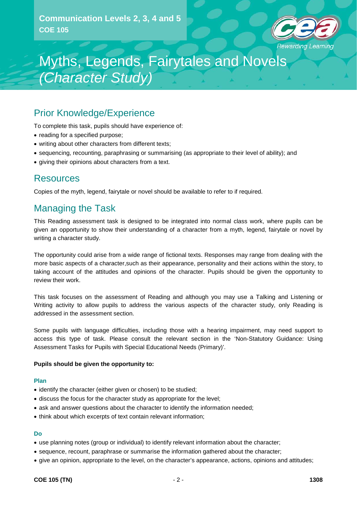

### Prior Knowledge/Experience

To complete this task, pupils should have experience of:

- reading for a specified purpose;
- writing about other characters from different texts;
- sequencing, recounting, paraphrasing or summarising (as appropriate to their level of ability); and
- giving their opinions about characters from a text.

### Resources

Copies of the myth, legend, fairytale or novel should be available to refer to if required.

### Managing the Task

This Reading assessment task is designed to be integrated into normal class work, where pupils can be given an opportunity to show their understanding of a character from a myth, legend, fairytale or novel by writing a character study.

The opportunity could arise from a wide range of fictional texts. Responses may range from dealing with the more basic aspects of a character,such as their appearance, personality and their actions within the story, to taking account of the attitudes and opinions of the character. Pupils should be given the opportunity to review their work.

This task focuses on the assessment of Reading and although you may use a Talking and Listening or Writing activity to allow pupils to address the various aspects of the character study, only Reading is addressed in the assessment section.

Some pupils with language difficulties, including those with a hearing impairment, may need support to access this type of task. Please consult the relevant section in the 'Non-Statutory Guidance: Using Assessment Tasks for Pupils with Special Educational Needs (Primary)'.

#### **Pupils should be given the opportunity to:**

#### **Plan**

- identify the character (either given or chosen) to be studied;
- discuss the focus for the character study as appropriate for the level;
- ask and answer questions about the character to identify the information needed;
- think about which excerpts of text contain relevant information;

#### **Do**

- use planning notes (group or individual) to identify relevant information about the character;
- sequence, recount, paraphrase or summarise the information gathered about the character;
- give an opinion, appropriate to the level, on the character's appearance, actions, opinions and attitudes;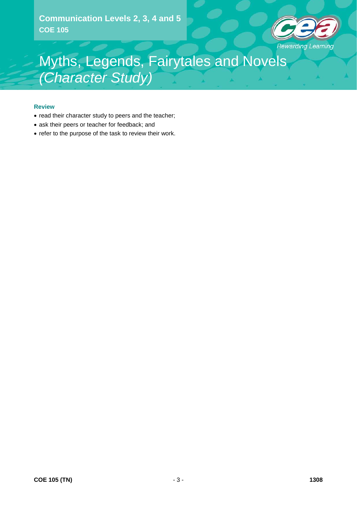**Communication Levels 2, 3, 4 and 5 COE 105**



## Myths, Legends, Fairytales and Novels *(Character Study)*

#### **Review**

- read their character study to peers and the teacher;
- ask their peers or teacher for feedback; and
- refer to the purpose of the task to review their work.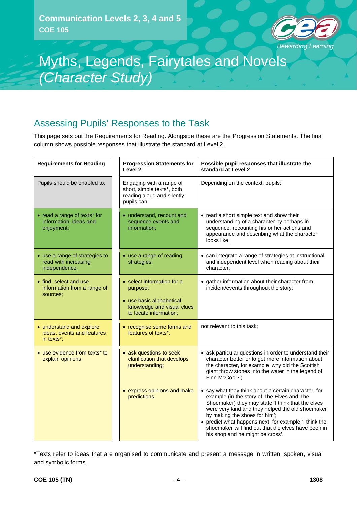

## Assessing Pupils' Responses to the Task

This page sets out the Requirements for Reading. Alongside these are the Progression Statements. The final column shows possible responses that illustrate the standard at Level 2.

| <b>Requirements for Reading</b>                                         | <b>Progression Statements for</b><br>Level 2                                                                               | Possible pupil responses that illustrate the<br>standard at Level 2                                                                                                                                                                                                                                                                                                                              |
|-------------------------------------------------------------------------|----------------------------------------------------------------------------------------------------------------------------|--------------------------------------------------------------------------------------------------------------------------------------------------------------------------------------------------------------------------------------------------------------------------------------------------------------------------------------------------------------------------------------------------|
| Pupils should be enabled to:                                            | Engaging with a range of<br>short, simple texts*, both<br>reading aloud and silently,<br>pupils can:                       | Depending on the context, pupils:                                                                                                                                                                                                                                                                                                                                                                |
| • read a range of texts* for<br>information, ideas and<br>enjoyment;    | • understand, recount and<br>sequence events and<br>information;                                                           | • read a short simple text and show their<br>understanding of a character by perhaps in<br>sequence, recounting his or her actions and<br>appearance and describing what the character<br>looks like;                                                                                                                                                                                            |
| • use a range of strategies to<br>read with increasing<br>independence; | • use a range of reading<br>strategies;                                                                                    | • can integrate a range of strategies at instructional<br>and independent level when reading about their<br>character;                                                                                                                                                                                                                                                                           |
| • find, select and use<br>information from a range of<br>sources;       | • select information for a<br>purpose;<br>• use basic alphabetical<br>knowledge and visual clues<br>to locate information; | • gather information about their character from<br>incident/events throughout the story;                                                                                                                                                                                                                                                                                                         |
| • understand and explore<br>ideas, events and features<br>in texts*;    | • recognise some forms and<br>features of texts*:                                                                          | not relevant to this task;                                                                                                                                                                                                                                                                                                                                                                       |
| • use evidence from texts* to<br>explain opinions.                      | • ask questions to seek<br>clarification that develops<br>understanding;                                                   | • ask particular questions in order to understand their<br>character better or to get more information about<br>the character, for example 'why did the Scottish<br>giant throw stones into the water in the legend of<br>Finn McCool?';                                                                                                                                                         |
|                                                                         | • express opinions and make<br>predictions.                                                                                | • say what they think about a certain character, for<br>example (in the story of The Elves and The<br>Shoemaker) they may state 'I think that the elves<br>were very kind and they helped the old shoemaker<br>by making the shoes for him';<br>• predict what happens next, for example 'I think the<br>shoemaker will find out that the elves have been in<br>his shop and he might be cross'. |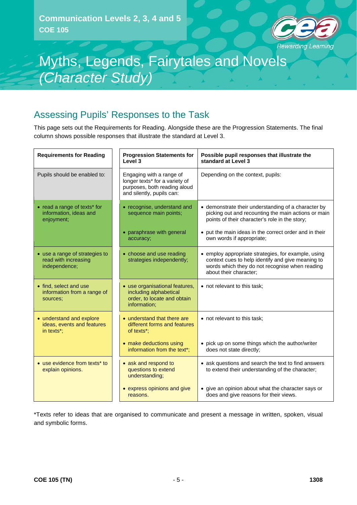

### Assessing Pupils' Responses to the Task

This page sets out the Requirements for Reading. Alongside these are the Progression Statements. The final column shows possible responses that illustrate the standard at Level 3.

| <b>Requirements for Reading</b>                                                   | <b>Progression Statements for</b><br>Level 3                                                                            | Possible pupil responses that illustrate the<br>standard at Level 3                                                                                                                  |
|-----------------------------------------------------------------------------------|-------------------------------------------------------------------------------------------------------------------------|--------------------------------------------------------------------------------------------------------------------------------------------------------------------------------------|
| Pupils should be enabled to:                                                      | Engaging with a range of<br>longer texts* for a variety of<br>purposes, both reading aloud<br>and silently, pupils can: | Depending on the context, pupils:                                                                                                                                                    |
| • read a range of texts* for<br>information, ideas and<br>enjoyment;              | • recognise, understand and<br>sequence main points;                                                                    | • demonstrate their understanding of a character by<br>picking out and recounting the main actions or main<br>points of their character's role in the story;                         |
|                                                                                   | • paraphrase with general<br>accuracy;                                                                                  | • put the main ideas in the correct order and in their<br>own words if appropriate;                                                                                                  |
| • use a range of strategies to<br>read with increasing<br>independence;           | • choose and use reading<br>strategies independently;                                                                   | • employ appropriate strategies, for example, using<br>context cues to help identify and give meaning to<br>words which they do not recognise when reading<br>about their character; |
| • find, select and use<br>information from a range of<br>sources:                 | • use organisational features,<br>including alphabetical<br>order, to locate and obtain<br>information;                 | • not relevant to this task:                                                                                                                                                         |
| • understand and explore<br>ideas, events and features<br>in texts <sup>*</sup> : | • understand that there are<br>different forms and features<br>of texts*;                                               | • not relevant to this task;                                                                                                                                                         |
|                                                                                   | • make deductions using<br>information from the text*;                                                                  | • pick up on some things which the author/writer<br>does not state directly;                                                                                                         |
| • use evidence from texts* to<br>explain opinions.                                | • ask and respond to<br>questions to extend<br>understanding;                                                           | • ask questions and search the text to find answers<br>to extend their understanding of the character;                                                                               |
|                                                                                   | • express opinions and give<br>reasons.                                                                                 | • give an opinion about what the character says or<br>does and give reasons for their views.                                                                                         |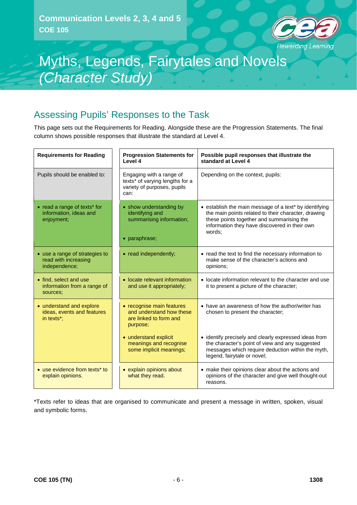

### Assessing Pupils' Responses to the Task

This page sets out the Requirements for Reading. Alongside these are the Progression Statements. The final column shows possible responses that illustrate the standard at Level 4.

| <b>Requirements for Reading</b>                                         | <b>Progression Statements for</b><br>Level 4                                                       | Possible pupil responses that illustrate the<br>standard at Level 4                                                                                                                                                   |
|-------------------------------------------------------------------------|----------------------------------------------------------------------------------------------------|-----------------------------------------------------------------------------------------------------------------------------------------------------------------------------------------------------------------------|
| Pupils should be enabled to:                                            | Engaging with a range of<br>texts* of varying lengths for a<br>variety of purposes, pupils<br>can: | Depending on the context, pupils:                                                                                                                                                                                     |
| • read a range of texts* for<br>information, ideas and<br>enjoyment;    | • show understanding by<br>identifying and<br>summarising information;<br>· paraphrase;            | • establish the main message of a text* by identifying<br>the main points related to their character, drawing<br>these points together and summarising the<br>information they have discovered in their own<br>words: |
| • use a range of strategies to<br>read with increasing<br>independence; | • read independently;                                                                              | • read the text to find the necessary information to<br>make sense of the character's actions and<br>opinions;                                                                                                        |
| • find, select and use<br>information from a range of<br>sources:       | • locate relevant information<br>and use it appropriately;                                         | • locate information relevant to the character and use<br>it to present a picture of the character;                                                                                                                   |
| • understand and explore<br>ideas, events and features<br>in texts*:    | • recognise main features<br>and understand how these<br>are linked to form and<br>purpose;        | • have an awareness of how the author/writer has<br>chosen to present the character;                                                                                                                                  |
|                                                                         | • understand explicit<br>meanings and recognise<br>some implicit meanings;                         | • identify precisely and clearly expressed ideas from<br>the character's point of view and any suggested<br>messages which require deduction within the myth,<br>legend, fairytale or novel;                          |
| • use evidence from texts* to<br>explain opinions.                      | • explain opinions about<br>what they read.                                                        | • make their opinions clear about the actions and<br>opinions of the character and give well thought-out<br>reasons.                                                                                                  |